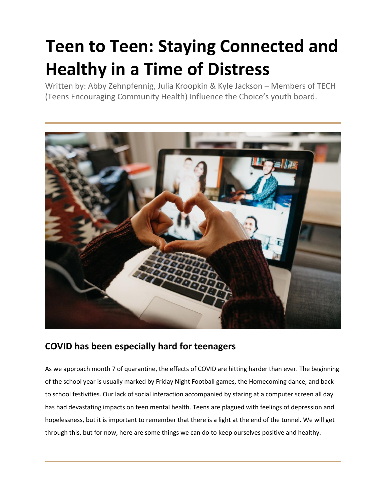# **Teen to Teen: Staying Connected and Healthy in a Time of Distress**

Written by: Abby Zehnpfennig, Julia Kroopkin & Kyle Jackson – Members of TECH (Teens Encouraging Community Health) Influence the Choice's youth board.



# **COVID has been especially hard for teenagers**

As we approach month 7 of quarantine, the effects of COVID are hitting harder than ever. The beginning of the school year is usually marked by Friday Night Football games, the Homecoming dance, and back to school festivities. Our lack of social interaction accompanied by staring at a computer screen all day has had devastating impacts on teen mental health. Teens are plagued with feelings of depression and hopelessness, but it is important to remember that there is a light at the end of the tunnel. We will get through this, but for now, here are some things we can do to keep ourselves positive and healthy.